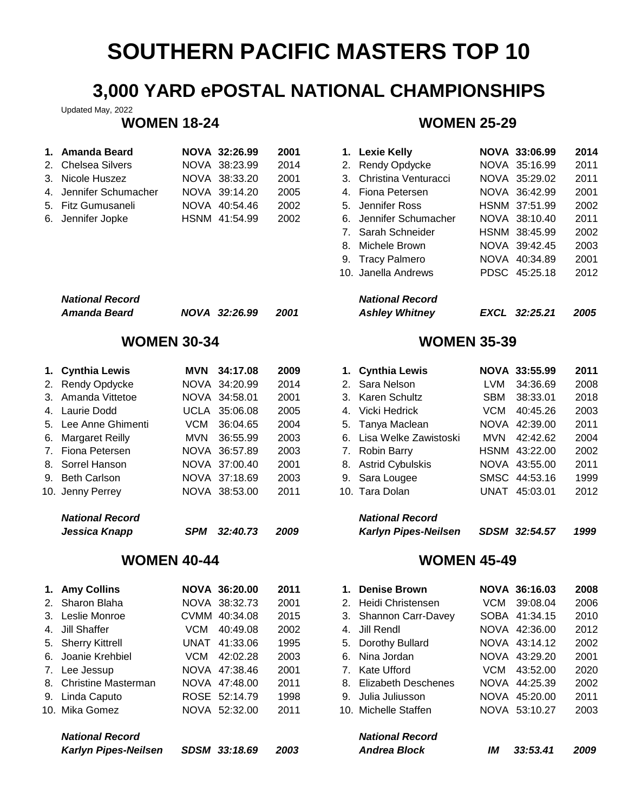## **3,000 YARD ePOSTAL NATIONAL CHAMPIONSHIPS**

Updated May, 2022

| 1. Amanda Beard        | NOVA 32:26.99 | 2001 | 1. Lexie Kelly          | <b>NOVA 33:06.99</b> | 2014 |
|------------------------|---------------|------|-------------------------|----------------------|------|
| 2. Chelsea Silvers     | NOVA 38:23.99 | 2014 | 2. Rendy Opdycke        | NOVA 35:16.99        | 2011 |
| 3. Nicole Huszez       | NOVA 38:33.20 | 2001 | 3. Christina Venturacci | NOVA 35:29.02        | 2011 |
| 4. Jennifer Schumacher | NOVA 39:14.20 | 2005 | 4. Fiona Petersen       | NOVA 36:42.99        | 2001 |
| 5. Fitz Gumusaneli     | NOVA 40:54.46 | 2002 | 5. Jennifer Ross        | HSNM 37:51.99        | 2002 |
| 6. Jennifer Jopke      | HSNM 41:54.99 | 2002 | 6. Jennifer Schumacher  | NOVA 38:10.40        | 2011 |

| <b>National Record</b> |               |      | <b>National Record</b> |
|------------------------|---------------|------|------------------------|
| Amanda Beard           | NOVA 32:26.99 | 2001 | <b>Ashley Whitney</b>  |

| 1. Cynthia Lewis     |       | MVN 34:17.08  | 2009 | 1. Cynthia Lewis         |     | NOVA 33:55.99 | 2011 |
|----------------------|-------|---------------|------|--------------------------|-----|---------------|------|
| 2. Rendy Opdycke     |       | NOVA 34:20.99 | 2014 | 2. Sara Nelson           | LVM | 34:36.69      | 2008 |
| 3. Amanda Vittetoe   |       | NOVA 34:58.01 | 2001 | 3. Karen Schultz         | SBM | 38:33.01      | 2018 |
| 4. Laurie Dodd       |       | UCLA 35:06.08 | 2005 | 4. Vicki Hedrick         | VCM | 40:45.26      | 2003 |
| 5. Lee Anne Ghimenti |       | VCM 36:04.65  | 2004 | 5. Tanya Maclean         |     | NOVA 42:39.00 | 2011 |
| 6. Margaret Reilly   | MVN - | 36:55.99      | 2003 | 6. Lisa Welke Zawistoski | MVN | 42:42.62      | 2004 |
| 7. Fiona Petersen    |       | NOVA 36:57.89 | 2003 | 7. Robin Barry           |     | HSNM 43:22.00 | 2002 |
| 8. Sorrel Hanson     |       | NOVA 37:00.40 | 2001 | 8. Astrid Cybulskis      |     | NOVA 43:55.00 | 2011 |
| 9. Beth Carlson      |       | NOVA 37:18.69 | 2003 | 9. Sara Lougee           |     | SMSC 44:53.16 | 1999 |
| 10. Jenny Perrey     |       | NOVA 38:53.00 | 2011 | 10. Tara Dolan           |     | UNAT 45:03.01 | 2012 |
| National Record      |       |               |      | National Record          |     |               |      |

| wayona N <del>c</del> ooru |                   | <i>INGUUHGI INGGUIU</i> |                             |               |      |  |
|----------------------------|-------------------|-------------------------|-----------------------------|---------------|------|--|
| Jessica Knapp              | SPM 32:40.73 2009 |                         | <b>Karlyn Pipes-Neilsen</b> | SDSM 32:54.57 | 1999 |  |

| 1. Amy Collins         |     | <b>NOVA 36:20.00</b> | 2011 | $1_{-}$ | <b>Denise Brown</b>    |     | NOVA 36:16.03 | 2008 |
|------------------------|-----|----------------------|------|---------|------------------------|-----|---------------|------|
| 2. Sharon Blaha        |     | NOVA 38:32.73        | 2001 |         | 2. Heidi Christensen   |     | VCM 39:08.04  | 2006 |
| 3. Leslie Monroe       |     | CVMM 40:34.08        | 2015 |         | 3. Shannon Carr-Davey  |     | SOBA 41:34.15 | 2010 |
| 4. Jill Shaffer        | VCM | 40:49.08             | 2002 |         | 4. Jill Rendl          |     | NOVA 42:36.00 | 2012 |
| 5. Sherry Kittrell     |     | UNAT 41:33.06        | 1995 |         | 5. Dorothy Bullard     |     | NOVA 43:14.12 | 2002 |
| 6. Joanie Krehbiel     |     | VCM 42:02.28         | 2003 |         | 6. Nina Jordan         |     | NOVA 43:29.20 | 2001 |
| 7. Lee Jessup          |     | NOVA 47:38.46        | 2001 |         | 7. Kate Ufford         | VCM | 43:52.00      | 2020 |
| 8. Christine Masterman |     | NOVA 47:48.00        | 2011 |         | 8. Elizabeth Deschenes |     | NOVA 44:25.39 | 2002 |
| 9. Linda Caputo        |     | ROSE 52:14.79        | 1998 |         | 9. Julia Juliusson     |     | NOVA 45:20.00 | 2011 |
| 10. Mika Gomez         |     | NOVA 52:32.00        | 2011 |         | 10. Michelle Staffen   |     | NOVA 53:10.27 | 2003 |
| <b>National Record</b> |     |                      |      |         | <b>National Record</b> |     |               |      |
|                        |     | $\cdots$             |      |         |                        |     |               |      |

| <b>WOMEN 18-24</b> | <b>WOMEN 25-29</b> |
|--------------------|--------------------|
|                    |                    |

|             | 2001                                                                                                           |    |                        |                                                                                                                                                                                                                    |          | 2014                                                                                                                                                                          |
|-------------|----------------------------------------------------------------------------------------------------------------|----|------------------------|--------------------------------------------------------------------------------------------------------------------------------------------------------------------------------------------------------------------|----------|-------------------------------------------------------------------------------------------------------------------------------------------------------------------------------|
|             | 2014                                                                                                           |    |                        |                                                                                                                                                                                                                    |          | 2011                                                                                                                                                                          |
|             | 2001                                                                                                           |    |                        |                                                                                                                                                                                                                    |          | 2011                                                                                                                                                                          |
|             | 2005                                                                                                           |    |                        |                                                                                                                                                                                                                    |          | 2001                                                                                                                                                                          |
|             | 2002                                                                                                           |    |                        |                                                                                                                                                                                                                    |          | 2002                                                                                                                                                                          |
|             | 2002                                                                                                           |    |                        |                                                                                                                                                                                                                    |          | 2011                                                                                                                                                                          |
|             |                                                                                                                |    |                        |                                                                                                                                                                                                                    |          | 2002                                                                                                                                                                          |
|             |                                                                                                                | 8. |                        |                                                                                                                                                                                                                    |          | 2003                                                                                                                                                                          |
|             |                                                                                                                |    |                        |                                                                                                                                                                                                                    |          | 2001                                                                                                                                                                          |
|             |                                                                                                                |    |                        |                                                                                                                                                                                                                    |          | 2012                                                                                                                                                                          |
|             |                                                                                                                |    | <b>National Record</b> |                                                                                                                                                                                                                    |          |                                                                                                                                                                               |
| <b>NOVA</b> | 2001                                                                                                           |    | <b>Ashley Whitney</b>  | <b>EXCL</b>                                                                                                                                                                                                        | 32:25.21 | 2005                                                                                                                                                                          |
|             | NOVA 32:26.99<br>NOVA 38:23.99<br>NOVA 38:33.20<br>NOVA 39:14.20<br>NOVA 40:54.46<br>HSNM 41:54.99<br>32:26.99 |    |                        | 1. Lexie Kelly<br>2. Rendy Opdycke<br>3. Christina Venturacci<br>4. Fiona Petersen<br>5. Jennifer Ross<br>6. Jennifer Schumacher<br>7. Sarah Schneider<br>Michele Brown<br>9. Tracy Palmero<br>10. Janella Andrews |          | <b>NOVA 33:06.99</b><br>NOVA 35:16.99<br>NOVA 35:29.02<br>NOVA 36:42.99<br>HSNM 37:51.99<br>NOVA 38:10.40<br>HSNM 38:45.99<br>NOVA 39:42.45<br>NOVA 40:34.89<br>PDSC 45:25.18 |

## **WOMEN 30-34 WOMEN 35-39**

| 1. Cynthia Lewis         |            | NOVA 33:55.99 | 2011 |
|--------------------------|------------|---------------|------|
| 2. Sara Nelson           | LVM        | 34:36.69      | 2008 |
| 3. Karen Schultz         |            | SBM 38:33.01  | 2018 |
| 4. Vicki Hedrick         | VCM        | 40:45.26      | 2003 |
| 5. Tanya Maclean         |            | NOVA 42:39.00 | 2011 |
| 6. Lisa Welke Zawistoski | <b>MVN</b> | 42:42.62      | 2004 |
| 7. Robin Barry           |            | HSNM 43:22.00 | 2002 |
| 8. Astrid Cybulskis      |            | NOVA 43:55.00 | 2011 |
| 9. Sara Lougee           |            | SMSC 44:53.16 | 1999 |
| 10. Tara Dolan           |            | UNAT 45:03.01 | 2012 |
| <b>National Record</b>   |            |               |      |

| Karlyn Pipes-Neilsen | SDSM 32:54.57 | 199 |
|----------------------|---------------|-----|

## **WOMEN 40-44 WOMEN 45-49**

| 1. Amy Collins              |            | <b>NOVA 36:20.00</b> | 2011 | 1. Denise Brown        |      | NOVA 36:16.03 | 2008 |
|-----------------------------|------------|----------------------|------|------------------------|------|---------------|------|
| 2. Sharon Blaha             |            | NOVA 38:32.73        | 2001 | 2. Heidi Christensen   |      | VCM 39:08.04  | 2006 |
| 3. Leslie Monroe            |            | CVMM 40:34.08        | 2015 | 3. Shannon Carr-Davey  |      | SOBA 41:34.15 | 2010 |
| 4. Jill Shaffer             | VCM        | 40:49.08             | 2002 | 4. Jill Rendl          |      | NOVA 42:36.00 | 2012 |
| 5. Sherry Kittrell          |            | UNAT 41:33.06        | 1995 | 5. Dorothy Bullard     |      | NOVA 43:14.12 | 2002 |
| 6. Joanie Krehbiel          | <b>VCM</b> | 42:02.28             | 2003 | 6. Nina Jordan         |      | NOVA 43:29.20 | 2001 |
| 7. Lee Jessup               |            | NOVA 47:38.46        | 2001 | 7. Kate Ufford         | VCM. | 43:52.00      | 2020 |
| 8. Christine Masterman      |            | NOVA 47:48.00        | 2011 | 8. Elizabeth Deschenes |      | NOVA 44:25.39 | 2002 |
| 9. Linda Caputo             |            | ROSE 52:14.79        | 1998 | 9. Julia Juliusson     |      | NOVA 45:20.00 | 2011 |
| 10. Mika Gomez              |            | NOVA 52:32.00        | 2011 | 10. Michelle Staffen   |      | NOVA 53:10.27 | 2003 |
| <b>National Record</b>      |            |                      |      | <b>National Record</b> |      |               |      |
| <b>Karlyn Pipes-Neilsen</b> |            | SDSM 33:18.69        | 2003 | <b>Andrea Block</b>    | IМ   | 33:53.41      | 2009 |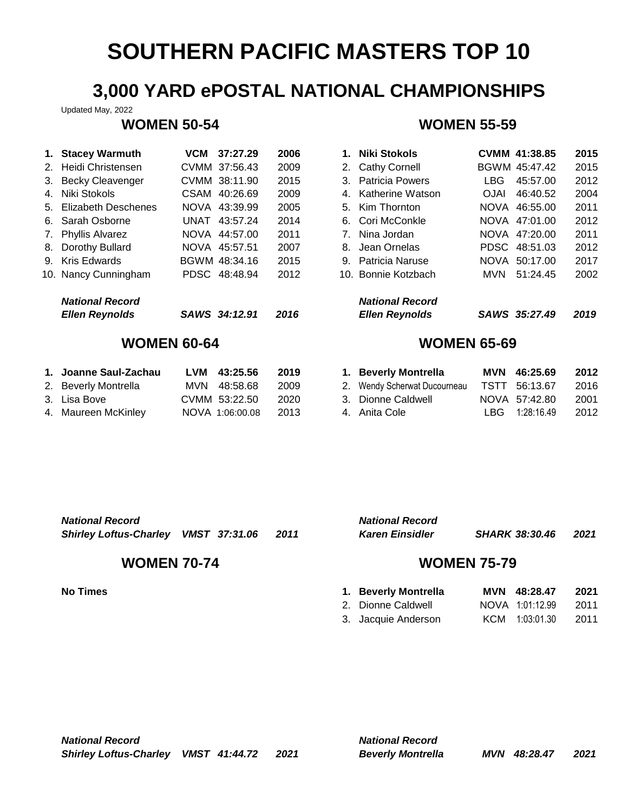## **3,000 YARD ePOSTAL NATIONAL CHAMPIONSHIPS**

Updated May, 2022

| 1. Stacey Warmuth      | VCM | 37:27.29      | 2006 | 1.          | Niki Stokols           |             | CVMM 41:38.85 | 2015 |
|------------------------|-----|---------------|------|-------------|------------------------|-------------|---------------|------|
| 2. Heidi Christensen   |     | CVMM 37:56.43 | 2009 |             | 2. Cathy Cornell       |             | BGWM 45:47.42 | 2015 |
| 3. Becky Cleavenger    |     | CVMM 38:11.90 | 2015 |             | 3. Patricia Powers     | LBG.        | 45:57.00      | 2012 |
| 4. Niki Stokols        |     | CSAM 40:26.69 | 2009 |             | 4. Katherine Watson    | <b>OJAI</b> | 46:40.52      | 2004 |
| 5. Elizabeth Deschenes |     | NOVA 43:39.99 | 2005 |             | 5. Kim Thornton        |             | NOVA 46:55.00 | 2011 |
| 6. Sarah Osborne       |     | UNAT 43:57.24 | 2014 |             | 6. Cori McConkle       |             | NOVA 47:01.00 | 2012 |
| 7. Phyllis Alvarez     |     | NOVA 44:57.00 | 2011 | $7_{\odot}$ | Nina Jordan            |             | NOVA 47:20.00 | 2011 |
| 8. Dorothy Bullard     |     | NOVA 45:57.51 | 2007 | 8.          | Jean Ornelas           |             | PDSC 48:51.03 | 2012 |
| 9. Kris Edwards        |     | BGWM 48:34.16 | 2015 |             | 9. Patricia Naruse     |             | NOVA 50:17.00 | 2017 |
| 10. Nancy Cunningham   |     | PDSC 48:48.94 | 2012 |             | 10. Bonnie Kotzbach    | <b>MVN</b>  | 51:24.45      | 2002 |
| <b>National Record</b> |     |               |      |             | <b>National Record</b> |             |               |      |
| <b>Ellen Reynolds</b>  |     | SAWS 34:12.91 | 2016 |             | <b>Ellen Reynolds</b>  |             | SAWS 35:27.49 | 2019 |

| 1. Joanne Saul-Zachau | LVM 43:25.56    | 2019 | 1. Beverly Montrella         | MVN 46:25.69       | 2012 |
|-----------------------|-----------------|------|------------------------------|--------------------|------|
| 2. Beverly Montrella  | MVN 48:58.68    | 2009 | 2. Wendy Scherwat Ducourneau | TSTT 56:13.67      | 2016 |
| 3. Lisa Bove          | CVMM 53:22.50   | 2020 | 3. Dionne Caldwell           | NOVA 57:42.80      | 2001 |
| 4. Maureen McKinlev   | NOVA 1:06:00.08 | 2013 | 4. Anita Cole                | $LBG = 1:28:16.49$ | 2012 |

### **WOMEN 50-54 WOMEN 55-59**

| <b>Stacey Warmuth</b>  | <b>VCM</b>  | 37:27.29      | 2006 | 1.                             | Niki Stokols           |             | CVMM 41:38.85 | 2015 |
|------------------------|-------------|---------------|------|--------------------------------|------------------------|-------------|---------------|------|
| Heidi Christensen      |             | CVMM 37:56.43 | 2009 |                                | 2. Cathy Cornell       |             | BGWM 45:47.42 | 2015 |
| Becky Cleavenger       |             | CVMM 38:11.90 | 2015 |                                | 3. Patricia Powers     | LBG.        | 45:57.00      | 2012 |
| Niki Stokols           | <b>CSAM</b> | 40:26.69      | 2009 |                                | 4. Katherine Watson    | <b>OJAI</b> | 46:40.52      | 2004 |
| Elizabeth Deschenes    |             | NOVA 43:39.99 | 2005 |                                | 5. Kim Thornton        |             | NOVA 46:55.00 | 2011 |
| Sarah Osborne          |             | UNAT 43:57.24 | 2014 |                                | 6. Cori McConkle       |             | NOVA 47:01.00 | 2012 |
| Phyllis Alvarez        |             | NOVA 44:57.00 | 2011 | $7_{\scriptscriptstyle{\sim}}$ | Nina Jordan            |             | NOVA 47:20.00 | 2011 |
| Dorothy Bullard        |             | NOVA 45:57.51 | 2007 | 8.                             | Jean Ornelas           |             | PDSC 48:51.03 | 2012 |
| Kris Edwards           |             | BGWM 48:34.16 | 2015 |                                | 9. Patricia Naruse     | <b>NOVA</b> | 50:17.00      | 2017 |
| Nancy Cunningham       |             | PDSC 48:48.94 | 2012 |                                | 10. Bonnie Kotzbach    | MVN         | 51:24.45      | 2002 |
| <b>National Record</b> |             |               |      |                                | <b>National Record</b> |             |               |      |
| <b>Ellen Reynolds</b>  |             | SAWS 34:12.91 | 2016 |                                | <b>Ellen Reynolds</b>  |             | SAWS 35:27.49 | 2019 |

## **WOMEN 60-64 WOMEN 65-69**

| 1. Beverly Montrella         | MVN 46:25.69   | 2012 |
|------------------------------|----------------|------|
| 2. Wendy Scherwat Ducourneau | TSTT 56:13.67  | 2016 |
| 3. Dionne Caldwell           | NOVA 57:42.80  | 2001 |
| 4. Anita Cole                | LBG 1:28:16.49 | 2012 |

| <b>National Record</b> | <b>National Record</b> |
|------------------------|------------------------|
|                        |                        |

| Shirley Loftus-Charley VMST 37:31.06 2011 |  | <b>Karen Einsidler</b> | SHARK 38:30.46 2021 |  |
|-------------------------------------------|--|------------------------|---------------------|--|
|-------------------------------------------|--|------------------------|---------------------|--|

### **WOMEN 70-74 WOMEN 75-79**

| <b>National Record</b> |                       |      |
|------------------------|-----------------------|------|
| Karen Einsidler        | <b>SHARK 38:30.46</b> | 2021 |

| No Times | 1. Beverly Montrella | MVN 48:28.47    | 2021 |
|----------|----------------------|-----------------|------|
|          | 2. Dionne Caldwell   | NOVA 1:01:12.99 | 2011 |
|          | 3. Jacquie Anderson  | KCM 1:03:01.30  | 2011 |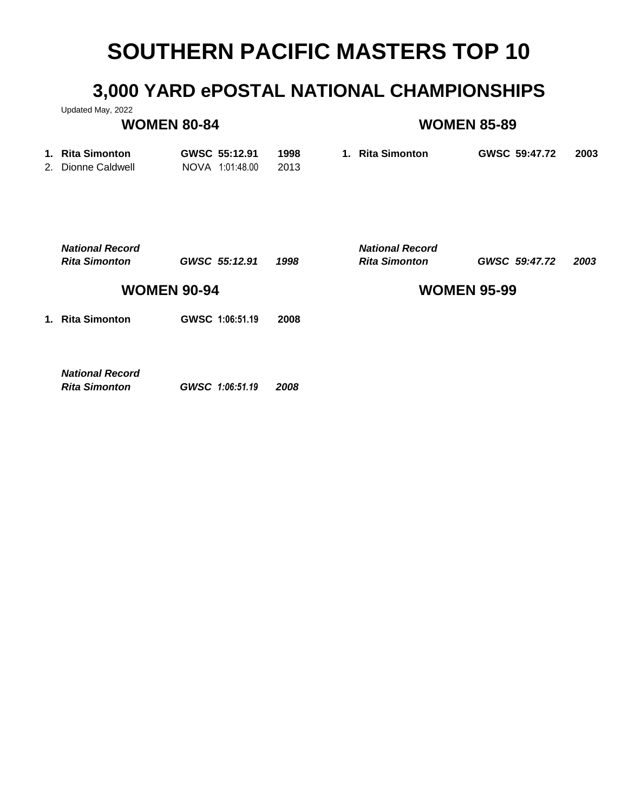## **3,000 YARD ePOSTAL NATIONAL CHAMPIONSHIPS**

Updated May, 2022

## **WOMEN 80-84 WOMEN 85-89**

| 1. Rita Simonton   | GWSC 55:12.91   | 1998 | 1. Rita Simonton | GWSC 59:47.72 | 2003 |
|--------------------|-----------------|------|------------------|---------------|------|
| 2. Dionne Caldwell | NOVA 1:01:48.00 | 2013 |                  |               |      |

|             | <b>National Record</b><br><b>Rita Simonton</b> | GWSC 55:12.91   | 1998 | <b>National Record</b><br><b>Rita Simonton</b> | GWSC 59:47.72 | 2003 |
|-------------|------------------------------------------------|-----------------|------|------------------------------------------------|---------------|------|
|             | <b>WOMEN 90-94</b>                             |                 |      | <b>WOMEN 95-99</b>                             |               |      |
| $\mathbf 1$ | <b>Rita Simonton</b>                           | GWSC 1:06:51.19 | 2008 |                                                |               |      |
|             |                                                |                 |      |                                                |               |      |
|             | <b>National Record</b><br><b>Rita Simonton</b> | GWSC 1:06:51.19 | 2008 |                                                |               |      |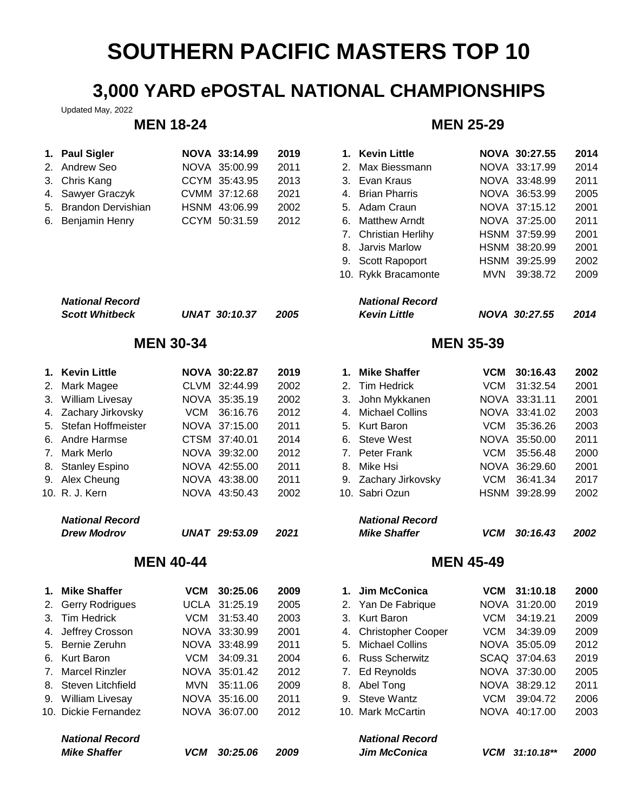## **3,000 YARD ePOSTAL NATIONAL CHAMPIONSHIPS**

Updated May, 2022

| 1. Paul Sigler        | NOVA 33:14.99 | 2019 | 1. Kevin Little  | <b>NOVA 30:27.55</b> | 2014 |
|-----------------------|---------------|------|------------------|----------------------|------|
| 2. Andrew Seo         | NOVA 35:00.99 | 2011 | 2. Max Biessmann | NOVA 33:17.99        | 2014 |
| 3. Chris Kang         | CCYM 35:43.95 | 2013 | 3. Evan Kraus    | NOVA 33:48.99        | 2011 |
| 4. Sawyer Graczyk     | CVMM 37:12.68 | 2021 | 4. Brian Pharris | NOVA 36:53.99        | 2005 |
| 5. Brandon Dervishian | HSNM 43:06.99 | 2002 | 5. Adam Craun    | NOVA 37:15.12        | 2001 |
| 6. Benjamin Henry     | CCYM 50:31.59 | 2012 | 6. Matthew Arndt | NOVA 37:25.00        | 2011 |

| <b>National Record</b> |                      |      | <b>National Record</b> |
|------------------------|----------------------|------|------------------------|
| <b>Scott Whitbeck</b>  | <b>UNAT 30:10.37</b> | 2005 | <b>Kevin Little</b>    |

| 1. Kevin Little        |     | <b>NOVA 30:22.87</b> | 2019 | 1. | <b>Mike Shaffer</b>    | <b>VCM</b> | 30:16.43      | 2002 |
|------------------------|-----|----------------------|------|----|------------------------|------------|---------------|------|
| 2. Mark Magee          |     | CLVM 32:44.99        | 2002 |    | 2. Tim Hedrick         | VCM        | 31:32.54      | 2001 |
| 3. William Livesay     |     | NOVA 35:35.19        | 2002 |    | 3. John Mykkanen       |            | NOVA 33:31.11 | 2001 |
| 4. Zachary Jirkovsky   | VCM | 36:16.76             | 2012 |    | 4. Michael Collins     |            | NOVA 33:41.02 | 2003 |
| 5. Stefan Hoffmeister  |     | NOVA 37:15.00        | 2011 |    | 5. Kurt Baron          | VCM        | 35:36.26      | 2003 |
| 6. Andre Harmse        |     | CTSM 37:40.01        | 2014 |    | 6. Steve West          |            | NOVA 35:50.00 | 2011 |
| 7. Mark Merlo          |     | NOVA 39:32.00        | 2012 |    | 7. Peter Frank         |            | VCM 35:56.48  | 2000 |
| 8. Stanley Espino      |     | NOVA 42:55.00        | 2011 | 8. | Mike Hsi               |            | NOVA 36:29.60 | 2001 |
| 9. Alex Cheung         |     | NOVA 43:38.00        | 2011 |    | 9. Zachary Jirkovsky   |            | VCM 36:41.34  | 2017 |
| 10. R. J. Kern         |     | NOVA 43:50.43        | 2002 |    | 10. Sabri Ozun         |            | HSNM 39:28.99 | 2002 |
| <b>National Record</b> |     |                      |      |    | <b>National Record</b> |            |               |      |
| <b>Drew Modrov</b>     |     | <b>UNAT 29:53.09</b> | 2021 |    | <b>Mike Shaffer</b>    | <b>VCM</b> | 30:16.43      | 2002 |

### **MEN 40-44 MEN 45-49**

| 1. Mike Shaffer        | VCM        | 30:25.06      | 2009 | 1. | Jim McConica           | VCM        | 31:10.18      | 2000 |
|------------------------|------------|---------------|------|----|------------------------|------------|---------------|------|
| 2. Gerry Rodrigues     |            | UCLA 31:25.19 | 2005 |    | 2. Yan De Fabrique     |            | NOVA 31:20.00 | 2019 |
| 3. Tim Hedrick         | VCM        | 31:53.40      | 2003 |    | 3. Kurt Baron          | VCM        | 34:19.21      | 2009 |
| 4. Jeffrey Crosson     |            | NOVA 33:30.99 | 2001 |    | 4. Christopher Cooper  |            | VCM 34:39.09  | 2009 |
| 5. Bernie Zeruhn       |            | NOVA 33:48.99 | 2011 |    | 5. Michael Collins     |            | NOVA 35:05.09 | 2012 |
| 6. Kurt Baron          | VCM        | 34:09.31      | 2004 |    | 6. Russ Scherwitz      |            | SCAQ 37:04.63 | 2019 |
| 7. Marcel Rinzler      |            | NOVA 35:01.42 | 2012 |    | 7. Ed Reynolds         |            | NOVA 37:30.00 | 2005 |
| 8. Steven Litchfield   |            | MVN 35:11.06  | 2009 |    | 8. Abel Tong           |            | NOVA 38:29.12 | 2011 |
| 9. William Livesay     |            | NOVA 35:16.00 | 2011 |    | 9. Steve Wantz         | VCM        | 39:04.72      | 2006 |
| 10. Dickie Fernandez   |            | NOVA 36:07.00 | 2012 |    | 10. Mark McCartin      |            | NOVA 40:17.00 | 2003 |
| <b>National Record</b> |            |               |      |    | <b>National Record</b> |            |               |      |
| <b>Mike Shaffer</b>    | <b>VCM</b> | 30:25.06      | 2009 |    | <b>Jim McConica</b>    | <b>VCM</b> | $31:10.18**$  | 2000 |

## **MEN 18-24 MEN 25-29**

| <b>Paul Sigler</b>                              | NOVA 33:14.99        | 2019 | 1. Kevin Little                               | NOVA 30:27.55   | 2014 |
|-------------------------------------------------|----------------------|------|-----------------------------------------------|-----------------|------|
| Andrew Seo                                      | NOVA 35:00.99        | 2011 | 2. Max Biessmann                              | NOVA 33:17.99   | 2014 |
| Chris Kang                                      | CCYM 35:43.95        | 2013 | 3. Evan Kraus                                 | NOVA 33:48.99   | 2011 |
| Sawyer Graczyk                                  | CVMM 37:12.68        | 2021 | 4. Brian Pharris                              | NOVA 36:53.99   | 2005 |
| Brandon Dervishian                              | HSNM 43:06.99        | 2002 | 5. Adam Craun                                 | NOVA 37:15.12   | 2001 |
| Benjamin Henry                                  | CCYM 50:31.59        | 2012 | Matthew Arndt<br>6.                           | NOVA 37:25.00   | 2011 |
|                                                 |                      |      | 7. Christian Herlihy                          | HSNM 37:59.99   | 2001 |
|                                                 |                      |      | Jarvis Marlow<br>8.                           | HSNM 38:20.99   | 2001 |
|                                                 |                      |      | 9. Scott Rapoport                             | HSNM 39:25.99   | 2002 |
|                                                 |                      |      | 10. Rykk Bracamonte                           | 39:38.72<br>MVN | 2009 |
| <b>National Record</b><br><b>Scott Whitbeck</b> | <b>UNAT 30:10.37</b> | 2005 | <b>National Record</b><br><b>Kevin Little</b> | NOVA 30:27.55   | 2014 |
|                                                 |                      |      |                                               |                 |      |

### **MEN 30-34 MEN 35-39**

|    | 1. Mike Shaffer        | VCM        | 30:16.43      | 2002 |
|----|------------------------|------------|---------------|------|
| 2. | Tim Hedrick            |            | VCM 31:32.54  | 2001 |
| 3. | John Mykkanen          |            | NOVA 33:31.11 | 2001 |
| 4. | Michael Collins        |            | NOVA 33:41.02 | 2003 |
|    | 5. Kurt Baron          | <b>VCM</b> | 35:36.26      | 2003 |
|    | 6. Steve West          |            | NOVA 35:50.00 | 2011 |
|    | 7. Peter Frank         | <b>VCM</b> | 35:56.48      | 2000 |
| 8. | Mike Hsi               |            | NOVA 36:29.60 | 2001 |
|    | 9. Zachary Jirkovsky   | VCM        | 36:41.34      | 2017 |
|    | 10.  Sabri Ozun        |            | HSNM 39:28.99 | 2002 |
|    | <b>National Record</b> |            |               |      |
|    | <b>Mike Shaffer</b>    | VCM        | 30:16.43      | 2002 |
|    |                        |            |               |      |

|    | 1. Jim McConica        | <b>VCM</b> | 31:10.18       | 2000 |
|----|------------------------|------------|----------------|------|
|    | 2. Yan De Fabrique     |            | NOVA 31:20.00  | 2019 |
| 3. | Kurt Baron             | VCM        | 34:19.21       | 2009 |
|    | 4. Christopher Cooper  | <b>VCM</b> | 34:39.09       | 2009 |
| 5. | Michael Collins        |            | NOVA 35:05.09  | 2012 |
| 6. | <b>Russ Scherwitz</b>  |            | SCAQ 37:04.63  | 2019 |
|    | 7. Ed Reynolds         |            | NOVA 37:30.00  | 2005 |
|    | 8. Abel Tong           |            | NOVA 38:29.12  | 2011 |
|    | 9. Steve Wantz         | VCM        | 39:04.72       | 2006 |
|    | 10.  Mark McCartin     |            | NOVA 40:17.00  | 2003 |
|    | <b>National Record</b> |            |                |      |
|    | <b>Jim McConica</b>    |            | VCM 31:10.18** | 2000 |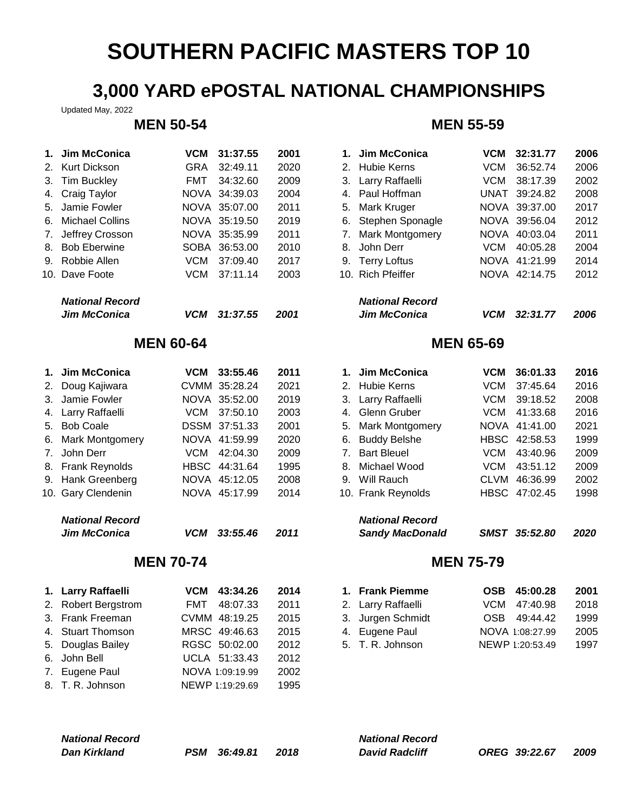## **3,000 YARD ePOSTAL NATIONAL CHAMPIONSHIPS**

Updated May, 2022

| 1.            | Jim McConica            | VCM              | 31:37.55        | 2001 |    | 1. Jim McConica        | <b>VCM</b>       | 32:31.77        | 2006 |
|---------------|-------------------------|------------------|-----------------|------|----|------------------------|------------------|-----------------|------|
| 2.            | Kurt Dickson            | GRA              | 32:49.11        | 2020 | 2. | <b>Hubie Kerns</b>     | <b>VCM</b>       | 36:52.74        | 2006 |
| 3.            | <b>Tim Buckley</b>      | FMT              | 34:32.60        | 2009 | 3. | Larry Raffaelli        | <b>VCM</b>       | 38:17.39        | 2002 |
| 4.            | Craig Taylor            | <b>NOVA</b>      | 34:39.03        | 2004 |    | 4. Paul Hoffman        | <b>UNAT</b>      | 39:24.82        | 2008 |
| 5.            | Jamie Fowler            |                  | NOVA 35:07.00   | 2011 | 5. | Mark Kruger            |                  | NOVA 39:37.00   | 2017 |
| 6.            | <b>Michael Collins</b>  |                  | NOVA 35:19.50   | 2019 | 6. | Stephen Sponagle       |                  | NOVA 39:56.04   | 2012 |
| 7.            | Jeffrey Crosson         | <b>NOVA</b>      | 35:35.99        | 2011 | 7. | Mark Montgomery        |                  | NOVA 40:03.04   | 2011 |
| 8.            | <b>Bob Eberwine</b>     | <b>SOBA</b>      | 36:53.00        | 2010 | 8. | John Derr              | <b>VCM</b>       | 40:05.28        | 2004 |
|               | 9. Robbie Allen         | <b>VCM</b>       | 37:09.40        | 2017 | 9. | <b>Terry Loftus</b>    |                  | NOVA 41:21.99   | 2014 |
|               | 10. Dave Foote          | <b>VCM</b>       | 37:11.14        | 2003 |    | 10. Rich Pfeiffer      |                  | NOVA 42:14.75   | 2012 |
|               | <b>National Record</b>  |                  |                 |      |    | <b>National Record</b> |                  |                 |      |
|               | <b>Jim McConica</b>     | <b>VCM</b>       | 31:37.55        | 2001 |    | <b>Jim McConica</b>    | <b>VCM</b>       | 32:31.77        | 2006 |
|               |                         | <b>MEN 60-64</b> |                 |      |    |                        | <b>MEN 65-69</b> |                 |      |
| $\mathbf 1$ . | Jim McConica            | <b>VCM</b>       | 33:55.46        | 2011 | 1. | Jim McConica           | <b>VCM</b>       | 36:01.33        | 2016 |
| 2.            | Doug Kajiwara           |                  | CVMM 35:28.24   | 2021 | 2. | <b>Hubie Kerns</b>     | <b>VCM</b>       | 37:45.64        | 2016 |
| 3.            | Jamie Fowler            |                  | NOVA 35:52.00   | 2019 |    | 3. Larry Raffaelli     | <b>VCM</b>       | 39:18.52        | 2008 |
|               | 4. Larry Raffaelli      | <b>VCM</b>       | 37:50.10        | 2003 |    | 4. Glenn Gruber        | <b>VCM</b>       | 41:33.68        | 2016 |
| 5.            | <b>Bob Coale</b>        |                  | DSSM 37:51.33   | 2001 | 5. | Mark Montgomery        |                  | NOVA 41:41.00   | 2021 |
| 6.            | Mark Montgomery         |                  | NOVA 41:59.99   | 2020 | 6. | <b>Buddy Belshe</b>    | <b>HBSC</b>      | 42:58.53        | 1999 |
| 7.            | John Derr               | <b>VCM</b>       | 42:04.30        | 2009 | 7. | <b>Bart Bleuel</b>     | <b>VCM</b>       | 43:40.96        | 2009 |
|               | 8. Frank Reynolds       |                  | HBSC 44:31.64   | 1995 | 8. | Michael Wood           | <b>VCM</b>       | 43:51.12        | 2009 |
| 9.            | Hank Greenberg          |                  | NOVA 45:12.05   | 2008 |    | 9. Will Rauch          | <b>CLVM</b>      | 46:36.99        | 2002 |
|               | 10. Gary Clendenin      |                  | NOVA 45:17.99   | 2014 |    | 10. Frank Reynolds     |                  | HBSC 47:02.45   | 1998 |
|               | <b>National Record</b>  |                  |                 |      |    | <b>National Record</b> |                  |                 |      |
|               | <b>Jim McConica</b>     | <b>VCM</b>       | 33:55.46        | 2011 |    | <b>Sandy MacDonald</b> |                  | SMST 35:52.80   | 2020 |
|               |                         | <b>MEN 70-74</b> |                 |      |    |                        | <b>MEN 75-79</b> |                 |      |
|               | 1. Larry Raffaelli      | VCM              | 43:34.26        | 2014 |    | 1. Frank Piemme        | <b>OSB</b>       | 45:00.28        | 2001 |
| 2.            | <b>Robert Bergstrom</b> | <b>FMT</b>       | 48:07.33        | 2011 |    | 2. Larry Raffaelli     | <b>VCM</b>       | 47:40.98        | 2018 |
| 3.            | Frank Freeman           |                  | CVMM 48:19.25   | 2015 | 3. | Jurgen Schmidt         | <b>OSB</b>       | 49:44.42        | 1999 |
| 4.            | <b>Stuart Thomson</b>   |                  | MRSC 49:46.63   | 2015 | 4. | Eugene Paul            |                  | NOVA 1:08:27.99 | 2005 |
| 5.            | Douglas Bailey          |                  | RGSC 50:02.00   | 2012 |    | 5. T. R. Johnson       |                  | NEWP 1:20:53.49 | 1997 |
| 6.            | John Bell               |                  | UCLA 51:33.43   | 2012 |    |                        |                  |                 |      |
| 7.            | Eugene Paul             |                  | NOVA 1:09:19.99 | 2002 |    |                        |                  |                 |      |

## 8. T. R. Johnson NEWP 1:19:29.69 1995

# *National Record National Record*

**MEN 50-54 MEN 55-59**

|                                                             | 2001                                                                                                                                                      |                        | <b>VCM</b>                                                                                                                                                                                        |          | 2006                                                                                                                                               |
|-------------------------------------------------------------|-----------------------------------------------------------------------------------------------------------------------------------------------------------|------------------------|---------------------------------------------------------------------------------------------------------------------------------------------------------------------------------------------------|----------|----------------------------------------------------------------------------------------------------------------------------------------------------|
|                                                             | 2020                                                                                                                                                      |                        | VCM                                                                                                                                                                                               |          | 2006                                                                                                                                               |
|                                                             | 2009                                                                                                                                                      |                        | VCM                                                                                                                                                                                               |          | 2002                                                                                                                                               |
|                                                             | 2004                                                                                                                                                      |                        |                                                                                                                                                                                                   |          | 2008                                                                                                                                               |
|                                                             | 2011                                                                                                                                                      |                        |                                                                                                                                                                                                   |          | 2017                                                                                                                                               |
|                                                             | 2019                                                                                                                                                      |                        |                                                                                                                                                                                                   |          | 2012                                                                                                                                               |
|                                                             | 2011                                                                                                                                                      |                        |                                                                                                                                                                                                   |          | 2011                                                                                                                                               |
|                                                             | 2010                                                                                                                                                      |                        | VCM                                                                                                                                                                                               | 40:05.28 | 2004                                                                                                                                               |
|                                                             | 2017                                                                                                                                                      |                        |                                                                                                                                                                                                   |          | 2014                                                                                                                                               |
|                                                             | 2003                                                                                                                                                      |                        |                                                                                                                                                                                                   |          | 2012                                                                                                                                               |
|                                                             |                                                                                                                                                           | <b>National Record</b> |                                                                                                                                                                                                   |          |                                                                                                                                                    |
|                                                             | 2001                                                                                                                                                      | <b>Jim McConica</b>    | <b>VCM</b>                                                                                                                                                                                        |          | 2006                                                                                                                                               |
| VCM<br><b>GRA</b><br><b>FMT</b><br>VCM<br>VCM<br><b>VCM</b> | 31:37.55<br>32:49.11<br>34:32.60<br>NOVA 34:39.03<br>NOVA 35:07.00<br>NOVA 35:19.50<br>NOVA 35:35.99<br>SOBA 36:53.00<br>37:09.40<br>37:11.14<br>31:37.55 |                        | 1. Jim McConica<br>2. Hubie Kerns<br>3. Larry Raffaelli<br>4. Paul Hoffman<br>5. Mark Kruger<br>6. Stephen Sponagle<br>7. Mark Montgomery<br>8. John Derr<br>9. Terry Loftus<br>10. Rich Pfeiffer |          | 32:31.77<br>36:52.74<br>38:17.39<br>UNAT 39:24.82<br>NOVA 39:37.00<br>NOVA 39:56.04<br>NOVA 40:03.04<br>NOVA 41:21.99<br>NOVA 42:14.75<br>32:31.77 |

### **MEN 65-69**

| Jim McConica           | VCM        | 33:55.46      | 2011 | 1. Jim McConica        | <b>VCM</b>  | 36:01.33      | 2016 |
|------------------------|------------|---------------|------|------------------------|-------------|---------------|------|
| Doug Kajiwara          |            | CVMM 35:28.24 | 2021 | 2. Hubie Kerns         | VCM         | 37:45.64      | 2016 |
| Jamie Fowler           |            | NOVA 35:52.00 | 2019 | 3. Larry Raffaelli     | VCM         | 39:18.52      | 2008 |
| Larry Raffaelli        | VCM        | 37:50.10      | 2003 | 4. Glenn Gruber        | VCM         | 41:33.68      | 2016 |
| Bob Coale              |            | DSSM 37:51.33 | 2001 | 5. Mark Montgomery     | NOVA        | 41:41.00      | 2021 |
| Mark Montgomery        |            | NOVA 41:59.99 | 2020 | 6. Buddy Belshe        |             | HBSC 42:58.53 | 1999 |
| John Derr              | VCM        | 42:04.30      | 2009 | 7. Bart Bleuel         | VCM         | 43:40.96      | 2009 |
| Frank Reynolds         |            | HBSC 44:31.64 | 1995 | 8. Michael Wood        | VCM         | 43:51.12      | 2009 |
| Hank Greenberg         |            | NOVA 45:12.05 | 2008 | 9. Will Rauch          | <b>CLVM</b> | 46:36.99      | 2002 |
| Gary Clendenin         |            | NOVA 45:17.99 | 2014 | 10. Frank Reynolds     |             | HBSC 47:02.45 | 1998 |
| <b>National Record</b> |            |               |      | <b>National Record</b> |             |               |      |
| Jim McConica           | <b>VCM</b> | 33:55.46      | 2011 | <b>Sandy MacDonald</b> | <b>SMST</b> | 35:52.80      | 2020 |

### **MEN 70-74 MEN 75-79**

| 1. Frank Piemme    | OSB 45:00.28    | 2001 |
|--------------------|-----------------|------|
| 2. Larry Raffaelli | VCM 47:40.98    | 2018 |
| 3. Jurgen Schmidt  | OSB 49:44.42    | 1999 |
| 4. Eugene Paul     | NOVA 1:08:27.99 | 2005 |
| 5. T. R. Johnson   | NEWP 1:20:53.49 | 1997 |

| <b>National Record</b> |  |              | <b>National Record</b> |                       |               |  |      |
|------------------------|--|--------------|------------------------|-----------------------|---------------|--|------|
| Dan Kirkland           |  | PSM 36:49.81 | 2018                   | <b>David Radcliff</b> | OREG 39:22.67 |  | 2009 |